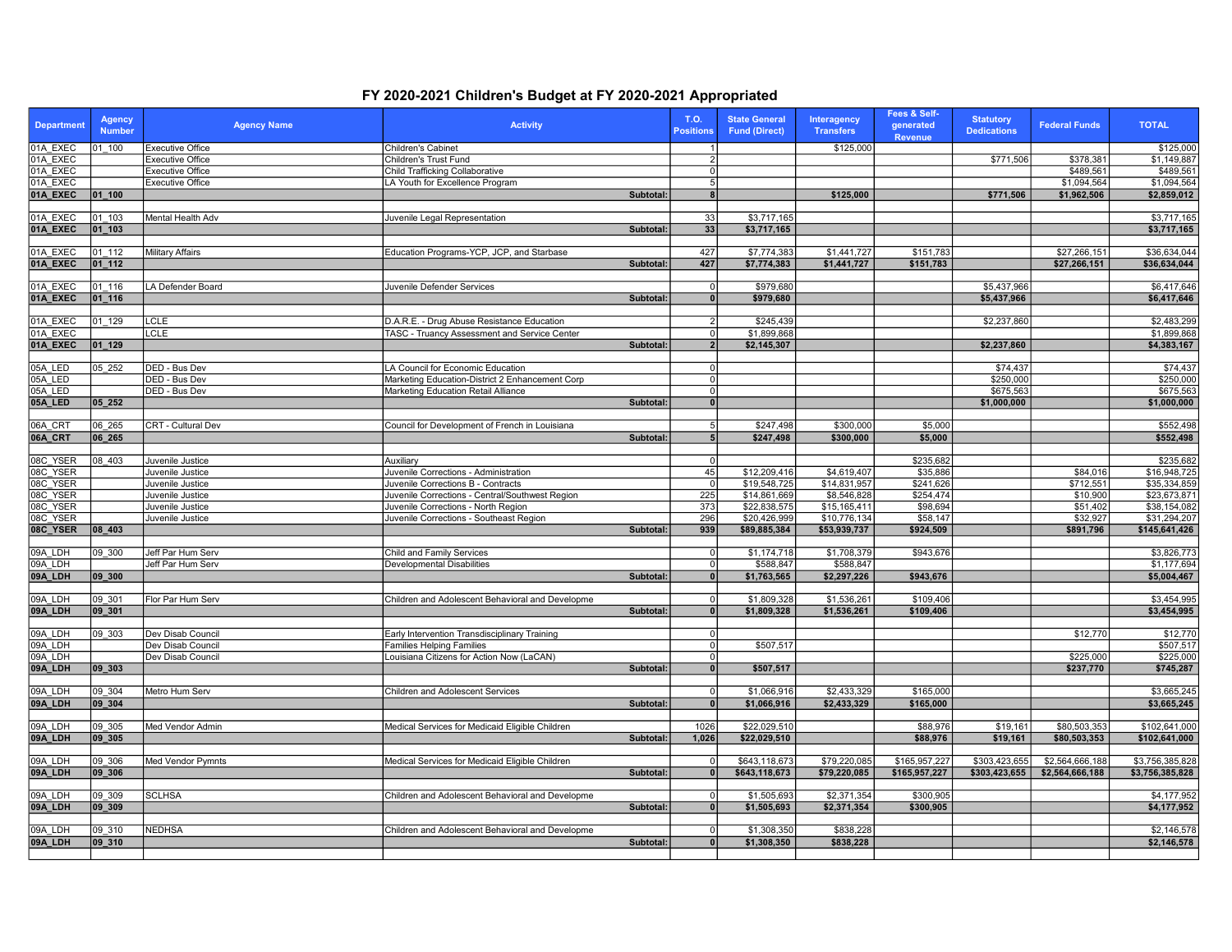## FY 2020-2021 Children's Budget at FY 2020-2021 Appropriated

| <b>Department</b>  | <b>Agency</b><br><b>Number</b> | <b>Agency Name</b>                     | <b>Activity</b>                                                               | T.O.<br><b>Positions</b>       | <b>State General</b><br><b>Fund (Direct)</b> | Interagency<br><b>Transfers</b> | Fees & Self-<br>generated<br><b>Revenue</b> | <b>Statutory</b><br><b>Dedications</b> | <b>Federal Funds</b> | <b>TOTAL</b>           |
|--------------------|--------------------------------|----------------------------------------|-------------------------------------------------------------------------------|--------------------------------|----------------------------------------------|---------------------------------|---------------------------------------------|----------------------------------------|----------------------|------------------------|
| 01A EXEC           | 01 100                         | <b>Executive Office</b>                | Children's Cabinet                                                            |                                |                                              | \$125,000                       |                                             |                                        |                      | \$125,000              |
| 01A EXEC           |                                | Executive Office                       | Children's Trust Fund                                                         |                                |                                              |                                 |                                             | \$771,506                              | \$378,381            | \$1,149,887            |
| 01A EXEC           |                                | Executive Office                       | Child Trafficking Collaborative                                               | $\mathbf{0}$                   |                                              |                                 |                                             |                                        | \$489,561            | \$489,561              |
| 01A EXEC           |                                | Executive Office                       | LA Youth for Excellence Program                                               | 5                              |                                              |                                 |                                             |                                        | \$1,094,564          | \$1,094,564            |
| 01A_EXEC           | 01 100                         |                                        | Subtotal:                                                                     | $\mathbf{a}$                   |                                              | \$125,000                       |                                             | \$771,506                              | \$1,962,506          | \$2,859,012            |
| 01A EXEC           | 01 103                         | Mental Health Adv                      | Juvenile Legal Representation                                                 | 33                             | \$3,717,165                                  |                                 |                                             |                                        |                      | \$3,717,165            |
| 01A_EXEC           | 01 103                         |                                        | Subtotal:                                                                     | 33                             | \$3.717.165                                  |                                 |                                             |                                        |                      | \$3,717,165            |
|                    |                                |                                        |                                                                               |                                |                                              |                                 |                                             |                                        |                      |                        |
| 01A EXEC           | 01 112                         | <b>Military Affairs</b>                | Education Programs-YCP, JCP, and Starbase                                     | 427                            | \$7,774,383                                  | \$1,441,727                     | \$151,783                                   |                                        | \$27,266,151         | \$36.634.044           |
| 01A_EXEC           | 01 112                         |                                        | Subtotal:                                                                     | 427                            | \$7,774,383                                  | \$1,441,727                     | \$151,783                                   |                                        | \$27,266,151         | \$36,634,044           |
|                    |                                |                                        |                                                                               |                                |                                              |                                 |                                             |                                        |                      |                        |
| 01A EXEC           | 01 116                         | LA Defender Board                      | Juvenile Defender Services                                                    | 0                              | \$979,680                                    |                                 |                                             | \$5,437,966                            |                      | \$6,417,646            |
| 01A_EXEC           | $ 01_116$                      |                                        | Subtotal:                                                                     | 0                              | \$979,680                                    |                                 |                                             | \$5,437,966                            |                      | \$6,417,646            |
|                    |                                |                                        |                                                                               |                                |                                              |                                 |                                             |                                        |                      |                        |
| 01A EXEC           | 01 129                         | CLE                                    | D.A.R.E. - Drug Abuse Resistance Education                                    | $\overline{2}$                 | \$245,439                                    |                                 |                                             | \$2,237,860                            |                      | \$2,483,299            |
| 01A EXEC           |                                | <b>CLE</b>                             | TASC - Truancy Assessment and Service Center                                  | 0                              | \$1,899,868                                  |                                 |                                             |                                        |                      | \$1,899,868            |
| 01A_EXEC           | $ 01 - 129 $                   |                                        | Subtotal:                                                                     | $\overline{2}$                 | \$2,145,307                                  |                                 |                                             | \$2,237,860                            |                      | \$4,383,167            |
|                    |                                |                                        |                                                                               |                                |                                              |                                 |                                             |                                        |                      |                        |
| 05A LED            | 05 252                         | DED - Bus Dev                          | LA Council for Economic Education                                             | $\Omega$                       |                                              |                                 |                                             | \$74,437                               |                      | \$74,437               |
| 05A LED            |                                | <b>DED - Bus Dev</b>                   | Marketing Education-District 2 Enhancement Corp                               | $\mathbf 0$                    |                                              |                                 |                                             | \$250,000                              |                      | \$250,000              |
| 05A LED            |                                | DED - Bus Dev                          | Marketing Education Retail Alliance<br>Subtotal:                              | $\overline{0}$<br>$\mathbf{0}$ |                                              |                                 |                                             | \$675,563                              |                      | \$675,563              |
| 05A_LED            | 05_252                         |                                        |                                                                               |                                |                                              |                                 |                                             | \$1,000,000                            |                      | \$1,000,000            |
| 06A CRT            | 06 265                         | CRT - Cultural Dev                     | Council for Development of French in Louisiana                                | -5                             | \$247,498                                    | \$300,000                       | \$5,000                                     |                                        |                      | \$552,498              |
| 06A_CRT            | 06_265                         |                                        | Subtotal:                                                                     | 5                              | \$247,498                                    | \$300,000                       | \$5,000                                     |                                        |                      | \$552,498              |
|                    |                                |                                        |                                                                               |                                |                                              |                                 |                                             |                                        |                      |                        |
| 08C YSER           | 08 403                         | Juvenile Justice                       | Auxiliary                                                                     | $\overline{0}$                 |                                              |                                 | \$235,682                                   |                                        |                      | \$235,682              |
| 08C_YSER           |                                | Juvenile Justice                       | Juvenile Corrections - Administration                                         | 45                             | \$12,209,416                                 | \$4,619,407                     | \$35,886                                    |                                        | \$84,016             | \$16,948,725           |
| 08C_YSER           |                                | Juvenile Justice                       | Juvenile Corrections B - Contracts                                            | $\overline{0}$                 | \$19,548,725                                 | \$14,831,957                    | \$241.626                                   |                                        | \$712.551            | \$35,334,859           |
| 08C_YSER           |                                | Juvenile Justice                       | Juvenile Corrections - Central/Southwest Region                               | 225                            | \$14,861,669                                 | \$8,546,828                     | \$254,474                                   |                                        | \$10,900             | \$23,673,871           |
| 08C_YSER           |                                | Juvenile Justice                       | Juvenile Corrections - North Region                                           | 373                            | \$22,838,575                                 | \$15,165,411                    | \$98,694                                    |                                        | \$51,402             | \$38,154,082           |
| 08C YSER           |                                | Juvenile Justice                       | Juvenile Corrections - Southeast Region                                       | 296                            | \$20,426,999                                 | \$10,776,134                    | \$58,147                                    |                                        | \$32,927             | \$31,294,207           |
| 08C_YSER           | 08 403                         |                                        | Subtotal:                                                                     | 939                            | \$89,885,384                                 | \$53,939,737                    | \$924,509                                   |                                        | \$891,796            | \$145,641,426          |
|                    |                                |                                        |                                                                               |                                |                                              |                                 |                                             |                                        |                      |                        |
| 09A LDH            | 09 300                         | Jeff Par Hum Serv                      | Child and Family Services                                                     | $\mathbf 0$                    | \$1,174,718                                  | \$1,708,379                     | \$943,676                                   |                                        |                      | \$3,826,773            |
| 09A LDH            |                                | Jeff Par Hum Serv                      | Developmental Disabilities                                                    | $\mathbf 0$                    | \$588,847                                    | \$588,847                       |                                             |                                        |                      | \$1,177,694            |
| 09A_LDH            | 09 300                         |                                        | Subtotal:                                                                     | $\overline{0}$                 | \$1,763,565                                  | \$2,297,226                     | \$943,676                                   |                                        |                      | \$5,004,467            |
|                    |                                |                                        |                                                                               |                                |                                              |                                 |                                             |                                        |                      |                        |
| 09A LDH            | 09 301                         | Flor Par Hum Serv                      | Children and Adolescent Behavioral and Developme                              | $\mathbf{0}$                   | \$1,809,328                                  | \$1,536,261                     | \$109,406                                   |                                        |                      | \$3,454,995            |
| 09A_LDH            | $ 09 - 301$                    |                                        | Subtotal:                                                                     | $\mathbf{0}$                   | \$1,809,328                                  | \$1,536,261                     | \$109,406                                   |                                        |                      | \$3,454,995            |
|                    |                                |                                        |                                                                               |                                |                                              |                                 |                                             |                                        |                      |                        |
| 09A_LDH            | 09 303                         | Dev Disab Council                      | Early Intervention Transdisciplinary Training                                 | $\mathbf 0$                    |                                              |                                 |                                             |                                        | \$12,770             | \$12,770               |
| 09A LDH<br>09A LDH |                                | Dev Disab Council<br>Dev Disab Council | <b>Families Helping Families</b><br>Louisiana Citizens for Action Now (LaCAN) | $\mathbf 0$<br>$\mathbf{0}$    | \$507,517                                    |                                 |                                             |                                        | \$225,000            | \$507,517<br>\$225,000 |
| 09A_LDH            | $ 09 - 303 $                   |                                        | Subtotal:                                                                     | $\overline{0}$                 | \$507,517                                    |                                 |                                             |                                        | \$237,770            | \$745,287              |
|                    |                                |                                        |                                                                               |                                |                                              |                                 |                                             |                                        |                      |                        |
| 09A LDH            | 09 304                         | Metro Hum Serv                         | Children and Adolescent Services                                              | 0                              | \$1,066,916                                  | \$2,433,329                     | \$165,000                                   |                                        |                      | \$3,665,245            |
| 09A_LDH            | $ 09 - 304$                    |                                        | Subtotal:                                                                     | $\mathbf{0}$                   | \$1,066,916                                  | \$2,433,329                     | \$165,000                                   |                                        |                      | \$3,665,245            |
|                    |                                |                                        |                                                                               |                                |                                              |                                 |                                             |                                        |                      |                        |
| 09A_LDH            | 09 305                         | Med Vendor Admin                       | Medical Services for Medicaid Eligible Children                               | 1026                           | \$22,029,510                                 |                                 | \$88,976                                    | \$19,161                               | \$80,503,353         | \$102,641,000          |
| 09A_LDH            | 09 305                         |                                        | Subtotal:                                                                     | 1,026                          | \$22,029,510                                 |                                 | \$88,976                                    | \$19,161                               | \$80,503,353         | \$102,641,000          |
|                    |                                |                                        |                                                                               |                                |                                              |                                 |                                             |                                        |                      |                        |
| 09A LDH            | 09 306                         | Med Vendor Pymnts                      | Medical Services for Medicaid Eligible Children                               | $\mathbf{0}$                   | \$643,118,673                                | \$79,220,085                    | \$165,957,227                               | \$303,423,655                          | \$2,564,666,188      | \$3,756,385,828        |
| 09A_LDH            | 09 306                         |                                        | Subtotal:                                                                     | $\mathbf{0}$                   | \$643,118,673                                | \$79,220,085                    | \$165,957,227                               | \$303,423,655                          | \$2,564,666,188      | \$3,756,385,828        |
|                    |                                |                                        |                                                                               |                                |                                              |                                 |                                             |                                        |                      |                        |
| 09A LDH            | 09 309                         | SCLHSA                                 | Children and Adolescent Behavioral and Developme                              | $\Omega$                       | \$1,505,693                                  | \$2,371,354                     | \$300,905                                   |                                        |                      | \$4,177,952            |
| 09A LDH            | 09 309                         |                                        | Subtotal:                                                                     | $\overline{\mathbf{0}}$        | \$1,505,693                                  | \$2,371,354                     | \$300,905                                   |                                        |                      | \$4,177,952            |
|                    |                                |                                        |                                                                               |                                |                                              |                                 |                                             |                                        |                      |                        |
| 09A LDH            | 09 310                         | <b>NEDHSA</b>                          | Children and Adolescent Behavioral and Developme                              | 0                              | \$1,308,350                                  | \$838,228                       |                                             |                                        |                      | \$2,146,578            |
| 09A_LDH            | 09_310                         |                                        | Subtotal:                                                                     | $\overline{0}$                 | \$1,308,350                                  | \$838,228                       |                                             |                                        |                      | \$2,146,578            |
|                    |                                |                                        |                                                                               |                                |                                              |                                 |                                             |                                        |                      |                        |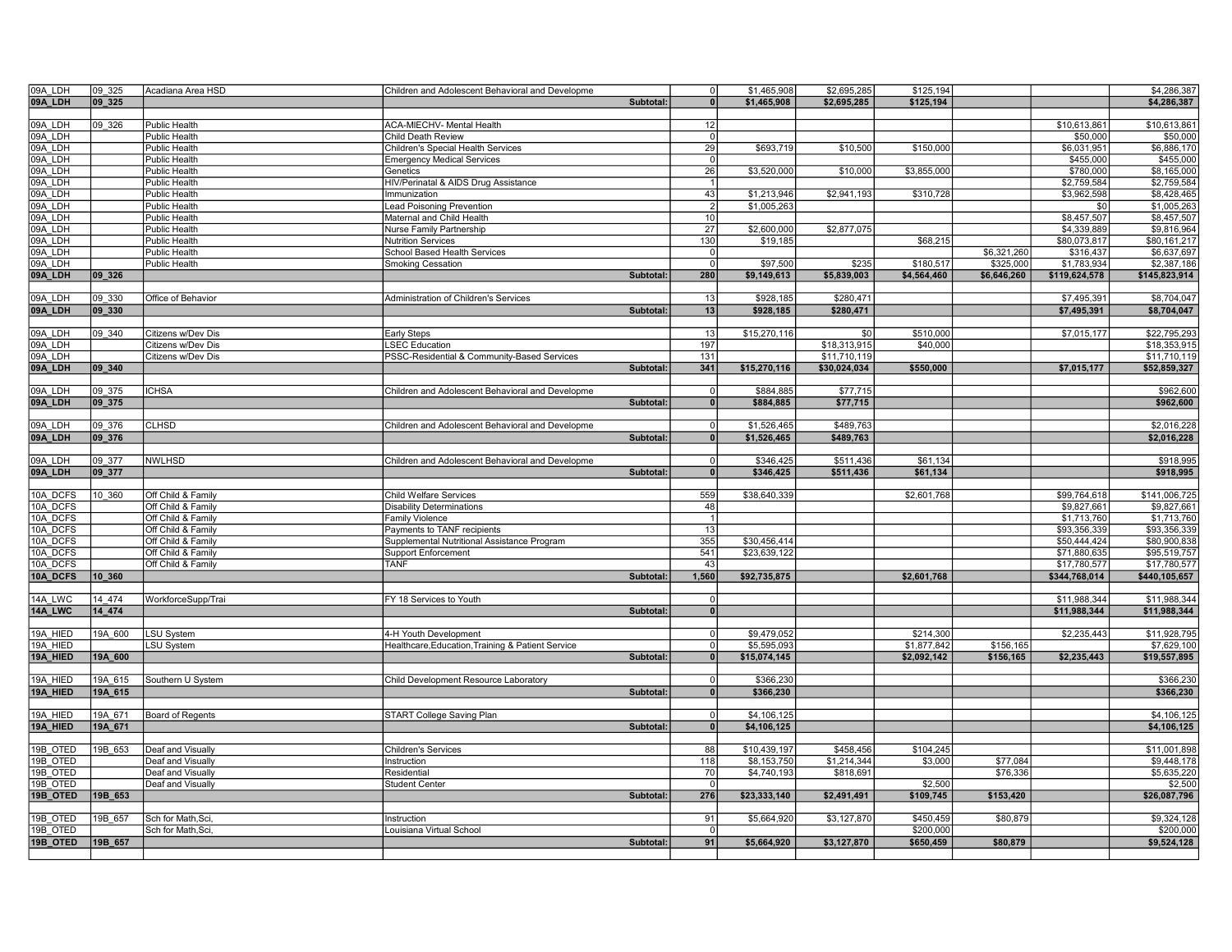| 09A LDH  | 09 325  | Acadiana Area HSD    | Children and Adolescent Behavioral and Developme  |           | $\overline{0}$ | \$1,465,908  | \$2,695,285  | \$125,194   |             |               | \$4,286,387   |
|----------|---------|----------------------|---------------------------------------------------|-----------|----------------|--------------|--------------|-------------|-------------|---------------|---------------|
| 09A_LDH  | 09 325  |                      |                                                   | Subtotal: | $\mathbf{0}$   | \$1,465,908  | \$2,695,285  | \$125.194   |             |               | \$4,286,387   |
|          |         |                      |                                                   |           |                |              |              |             |             |               |               |
| 09A LDH  | 09 326  | Public Health        | ACA-MIECHV- Mental Health                         |           | 12             |              |              |             |             | \$10,613,861  | \$10,613,861  |
| 09A LDH  |         | Public Health        | Child Death Review                                |           | $\overline{0}$ |              |              |             |             | \$50,000      | \$50,000      |
| 09A LDH  |         | Public Health        | Children's Special Health Services                |           | 29             | \$693,719    | \$10,500     | \$150,000   |             | \$6,031,951   | \$6,886,170   |
| 09A_LDH  |         | Public Health        | <b>Emergency Medical Services</b>                 |           | $\Omega$       |              |              |             |             | \$455,000     | \$455,000     |
| 09A LDH  |         | Public Health        | Genetics                                          |           | 26             | \$3,520,000  | \$10,000     | \$3,855,000 |             | \$780,000     | \$8,165,000   |
| 09A LDH  |         | Public Health        | HIV/Perinatal & AIDS Drug Assistance              |           |                |              |              |             |             | \$2,759,584   | \$2,759,584   |
| 09A LDH  |         | Public Health        | Immunization                                      |           | 43             | \$1,213,946  | \$2,941,193  | \$310,728   |             | \$3,962,598   | \$8,428,465   |
| 09A_LDH  |         | Public Health        | Lead Poisoning Prevention                         |           | $\overline{2}$ | \$1,005,263  |              |             |             | \$0           | \$1,005,263   |
| 09A LDH  |         | Public Health        | Maternal and Child Health                         |           | 10             |              |              |             |             | \$8,457,507   | \$8,457,507   |
| 09A LDH  |         | Public Health        | Nurse Family Partnership                          |           | 27             | \$2,600,000  | \$2,877,075  |             |             | \$4,339,889   | \$9,816,964   |
| 09A LDH  |         | Public Health        | <b>Nutrition Services</b>                         |           | 130            | \$19,185     |              | \$68,215    |             | \$80,073,817  | \$80,161,217  |
| 09A LDH  |         | Public Health        | School Based Health Services                      |           | 0              |              |              |             | \$6,321,260 | \$316,437     | \$6,637,697   |
| 09A LDH  |         | <b>Public Health</b> | <b>Smoking Cessation</b>                          |           | $\overline{0}$ | \$97,500     | \$235        | \$180,517   | \$325,000   | \$1,783,934   | \$2,387,186   |
| 09A_LDH  | 09_326  |                      |                                                   | Subtotal: | 280            | \$9,149,613  | \$5,839,003  | \$4,564,460 | \$6,646,260 | \$119,624,578 | \$145,823,914 |
|          |         |                      |                                                   |           |                |              |              |             |             |               |               |
| 09A LDH  | 09 330  | Office of Behavior   | Administration of Children's Services             |           | 13             | \$928,185    | \$280,471    |             |             | \$7,495,391   | \$8,704,047   |
| 09A_LDH  | 09_330  |                      |                                                   | Subtotal: | 13             | \$928,185    | \$280,471    |             |             | \$7,495,391   | \$8,704,047   |
|          |         |                      |                                                   |           |                |              |              |             |             |               |               |
| 09A LDH  | 09 340  | Citizens w/Dev Dis   | <b>Early Steps</b>                                |           | 13             | \$15,270,116 | \$0          | \$510,000   |             | \$7,015,177   | \$22,795,293  |
| 09A LDH  |         | Citizens w/Dev Dis   | <b>LSEC Education</b>                             |           | 197            |              | \$18,313,915 | \$40,000    |             |               | \$18,353,915  |
| 09A_LDH  |         | Citizens w/Dev Dis   | PSSC-Residential & Community-Based Services       |           | 131            |              | \$11,710,119 |             |             |               | \$11,710,119  |
| 09A_LDH  | 09_340  |                      |                                                   | Subtotal: | 341            | \$15,270,116 | \$30,024,034 | \$550,000   |             | \$7,015,177   | \$52,859,327  |
|          |         |                      |                                                   |           |                |              |              |             |             |               |               |
| 09A LDH  | 09 375  | <b>ICHSA</b>         | Children and Adolescent Behavioral and Developme  |           | - 0            | \$884,885    | \$77,715     |             |             |               | \$962,600     |
| 09A_LDH  | 09_375  |                      |                                                   | Subtotal: | $\sqrt{2}$     | \$884.885    | \$77,715     |             |             |               | \$962,600     |
|          |         |                      |                                                   |           |                |              |              |             |             |               |               |
| 09A LDH  | 09 376  | <b>CLHSD</b>         | Children and Adolescent Behavioral and Developme  |           | $\mathbf{0}$   | \$1,526,465  | \$489,763    |             |             |               | \$2,016,228   |
| 09A_LDH  | 09 376  |                      |                                                   | Subtotal: | $\mathbf{0}$   | \$1,526,465  | \$489,763    |             |             |               | \$2,016,228   |
|          |         |                      |                                                   |           |                |              |              |             |             |               |               |
| 09A_LDH  | 09 377  | <b>NWLHSD</b>        | Children and Adolescent Behavioral and Developme  |           | $\Omega$       | \$346,425    | \$511,436    | \$61,134    |             |               | \$918,995     |
| 09A_LDH  | 09_377  |                      |                                                   | Subtotal: | $\overline{0}$ | \$346,425    | \$511,436    | \$61,134    |             |               | \$918,995     |
| 10A DCFS | 10 360  | Off Child & Family   | <b>Child Welfare Services</b>                     |           | 559            | \$38,640,339 |              | \$2,601,768 |             | \$99,764,618  | \$141,006,725 |
| 10A DCFS |         | Off Child & Family   | <b>Disability Determinations</b>                  |           | 48             |              |              |             |             | \$9,827,661   | \$9,827,661   |
| 10A DCFS |         | Off Child & Family   | Family Violence                                   |           |                |              |              |             |             | \$1,713,760   | \$1,713,760   |
| 10A DCFS |         | Off Child & Family   | Payments to TANF recipients                       |           | 13             |              |              |             |             | \$93,356,339  | \$93,356,339  |
| 10A DCFS |         | Off Child & Family   | Supplemental Nutritional Assistance Program       |           | 355            | \$30,456,414 |              |             |             | \$50,444,424  | \$80,900,838  |
| 10A_DCFS |         | Off Child & Family   | Support Enforcement                               |           | 541            | \$23,639,122 |              |             |             | \$71,880,635  | \$95,519,757  |
| 10A DCFS |         | Off Child & Family   | <b>TANF</b>                                       |           | 43             |              |              |             |             | \$17,780,577  | \$17,780,577  |
| 10A_DCFS | 10_360  |                      |                                                   | Subtotal: | 1,560          | \$92,735,875 |              | \$2,601,768 |             | \$344,768,014 | \$440,105,657 |
|          |         |                      |                                                   |           |                |              |              |             |             |               |               |
| 14A LWC  | 14 474  | WorkforceSupp/Trai   | FY 18 Services to Youth                           |           | $\Omega$       |              |              |             |             | \$11,988,344  | \$11,988,344  |
| 14A_LWC  | 14 474  |                      |                                                   | Subtotal: | $\mathbf{0}$   |              |              |             |             | \$11,988,344  | \$11,988,344  |
|          |         |                      |                                                   |           |                |              |              |             |             |               |               |
| 19A HIED | 19A 600 | LSU System           | 4-H Youth Development                             |           | $\overline{0}$ | \$9,479,052  |              | \$214,300   |             | \$2,235,443   | \$11,928,795  |
| 19A HIED |         | LSU System           | Healthcare, Education, Training & Patient Service |           | $\Omega$       | \$5,595,093  |              | \$1,877,842 | \$156,165   |               | \$7,629,100   |
| 19A_HIED | 19A_600 |                      |                                                   | Subtotal: | $\sqrt{2}$     | \$15,074,145 |              | \$2,092,142 | \$156,165   | \$2,235,443   | \$19,557,895  |
|          |         |                      |                                                   |           |                |              |              |             |             |               |               |
| 19A HIED | 19A 615 | Southern U System    | Child Development Resource Laboratory             |           | $\Omega$       | \$366,230    |              |             |             |               | \$366,230     |
| 19A_HIED | 19A 615 |                      |                                                   | Subtotal: | $\mathbf{0}$   | \$366,230    |              |             |             |               | \$366,230     |
|          |         |                      |                                                   |           |                |              |              |             |             |               |               |
| 19A HIED | 19A 671 | Board of Regents     | START College Saving Plan                         |           | $\mathbf{0}$   | \$4,106,125  |              |             |             |               | \$4,106,125   |
| 19A_HIED | 19A_671 |                      |                                                   | Subtotal: | $\mathbf{0}$   | \$4,106,125  |              |             |             |               | \$4,106,125   |
|          |         |                      |                                                   |           |                |              |              |             |             |               |               |
| 19B_OTED | 19B 653 | Deaf and Visually    | <b>Children's Services</b>                        |           | 88             | \$10,439,197 | \$458,456    | \$104,245   |             |               | \$11,001,898  |
| 19B OTED |         | Deaf and Visually    | Instruction                                       |           | 118            | \$8,153,750  | \$1,214,344  | \$3,000     | \$77,084    |               | \$9,448,178   |
| 19B OTED |         | Deaf and Visually    | Residential                                       |           | 70             | \$4,740,193  | \$818,691    |             | \$76,336    |               | \$5,635,220   |
| 19B OTED |         | Deaf and Visually    | <b>Student Center</b>                             |           | - 0            |              |              | \$2,500     |             |               | \$2,500       |
| 19B_OTED | 19B 653 |                      |                                                   | Subtotal: | 276            | \$23,333,140 | \$2,491,491  | \$109,745   | \$153,420   |               | \$26,087,796  |
|          |         |                      |                                                   |           |                |              |              |             |             |               |               |
| 19B OTED | 19B 657 | Sch for Math, Sci,   | Instruction                                       |           | 91             | \$5,664,920  | \$3,127,870  | \$450.459   | \$80,879    |               | \$9,324,128   |
| 19B OTED |         | Sch for Math, Sci,   | Louisiana Virtual School                          |           |                |              |              | \$200,000   |             |               | \$200,000     |
| 19B OTED | 19B 657 |                      |                                                   | Subtotal: | 91             | \$5,664,920  | \$3,127,870  | \$650,459   | \$80,879    |               | \$9,524,128   |
|          |         |                      |                                                   |           |                |              |              |             |             |               |               |
|          |         |                      |                                                   |           |                |              |              |             |             |               |               |